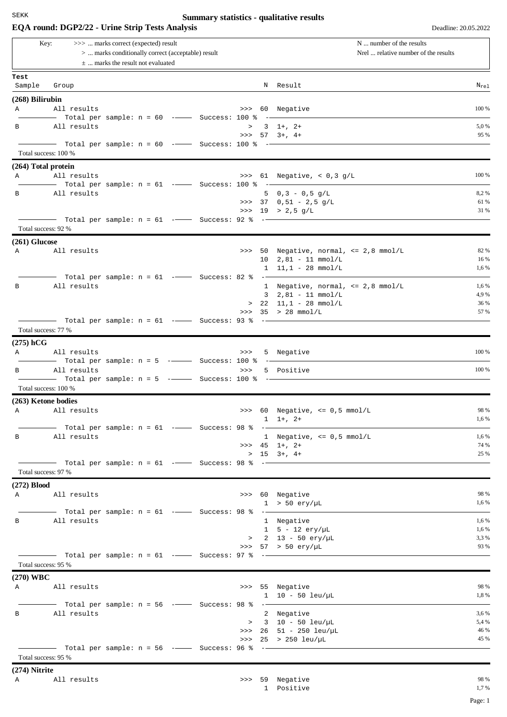## **Summary statistics - qualitative results**

| EQA round: DGP2/22 - Urine Strip Tests Analysis |                                                                                                                                            |                                                                                                                     |  |  |       |      |                                                                      |               |  |
|-------------------------------------------------|--------------------------------------------------------------------------------------------------------------------------------------------|---------------------------------------------------------------------------------------------------------------------|--|--|-------|------|----------------------------------------------------------------------|---------------|--|
|                                                 | >>>  marks correct (expected) result<br>Key:<br>>  marks conditionally correct (acceptable) result<br>$\pm$ marks the result not evaluated |                                                                                                                     |  |  |       |      | N  number of the results<br>Nrel  relative number of the results     |               |  |
| Test                                            |                                                                                                                                            |                                                                                                                     |  |  |       |      |                                                                      |               |  |
| Sample                                          | Group                                                                                                                                      |                                                                                                                     |  |  |       |      | N Result                                                             | $N_{re1}$     |  |
| $(268)$ Bilirubin                               |                                                                                                                                            |                                                                                                                     |  |  |       |      |                                                                      |               |  |
| Α                                               | All results                                                                                                                                | $-$ Total per sample: $n = 60$ - $-$ Success: 100 %                                                                 |  |  |       | ____ | >>> 60 Negative                                                      | 100 %         |  |
| В                                               | All results                                                                                                                                |                                                                                                                     |  |  |       |      | $> 3 \t1+$ , 2+<br>$>>$ 57 3+, 4+                                    | 5,0%<br>95 %  |  |
|                                                 | Total success: 100 %                                                                                                                       | Total per sample: n = 60 $\,$ - $\,$ Success: 100 % - $\,$ - $\,$                                                   |  |  |       |      |                                                                      |               |  |
|                                                 | (264) Total protein                                                                                                                        |                                                                                                                     |  |  |       |      |                                                                      |               |  |
| Α                                               | All results                                                                                                                                |                                                                                                                     |  |  |       |      | >>> $61$ Negative, < 0,3 g/L                                         | 100 %         |  |
| В                                               | All results                                                                                                                                |                                                                                                                     |  |  |       |      | 5 $0,3 - 0,5 g/L$                                                    | 8,2%          |  |
|                                                 |                                                                                                                                            |                                                                                                                     |  |  |       |      | >>> 37 $0,51 - 2,5 g/L$                                              | 61 %          |  |
|                                                 |                                                                                                                                            |                                                                                                                     |  |  |       |      | >>> 19 > 2,5 g/L                                                     | 31 %          |  |
|                                                 | Total success: 92 %                                                                                                                        |                                                                                                                     |  |  |       |      |                                                                      |               |  |
|                                                 |                                                                                                                                            |                                                                                                                     |  |  |       |      |                                                                      |               |  |
| $(261)$ Glucose<br>Α                            | All results                                                                                                                                |                                                                                                                     |  |  |       |      | >>> 50 Negative, normal, $\leq$ 2,8 mmol/L                           | 82 %          |  |
|                                                 |                                                                                                                                            |                                                                                                                     |  |  |       |      | $10$ $2,81 - 11$ mmol/L                                              | 16 %          |  |
|                                                 |                                                                                                                                            |                                                                                                                     |  |  |       |      | $1 \quad 11,1 - 28 \quad \text{mmol/L}$                              | 1,6 %         |  |
|                                                 |                                                                                                                                            | Total per sample: $n = 61$ -- Success: 82 % -                                                                       |  |  |       |      |                                                                      |               |  |
| В                                               | All results                                                                                                                                |                                                                                                                     |  |  |       |      | 1 Negative, normal, <= 2,8 mmol/L                                    | 1,6 %         |  |
|                                                 |                                                                                                                                            |                                                                                                                     |  |  |       |      | $3$ $2,81 - 11$ mmol/L                                               | 4,9%<br>36 %  |  |
|                                                 |                                                                                                                                            |                                                                                                                     |  |  |       |      | $> 22 \quad 11,1 - 28 \quad \text{mmol/L}$<br>>>> $35$ > $28$ mmol/L | 57 %          |  |
|                                                 |                                                                                                                                            |                                                                                                                     |  |  |       |      |                                                                      |               |  |
|                                                 | Total success: 77 %                                                                                                                        |                                                                                                                     |  |  |       |      |                                                                      |               |  |
| $(275)$ hCG                                     |                                                                                                                                            |                                                                                                                     |  |  |       |      |                                                                      |               |  |
| Α                                               | All results                                                                                                                                |                                                                                                                     |  |  | >>>   |      | 5 Negative                                                           | 100 %         |  |
|                                                 |                                                                                                                                            | Total per sample: $n = 5$ ----------- Success: 100 %                                                                |  |  |       |      |                                                                      |               |  |
| в                                               | All results                                                                                                                                |                                                                                                                     |  |  | $>>>$ |      | 5 Positive                                                           | 100 %         |  |
|                                                 |                                                                                                                                            | $\overline{\phantom{0}}$ Total per sample: n = 5 $\overline{\phantom{0}}$ - $\overline{\phantom{0}}$ Success: 100 % |  |  |       | $--$ |                                                                      |               |  |
|                                                 | Total success: 100 %                                                                                                                       |                                                                                                                     |  |  |       |      |                                                                      |               |  |
|                                                 | (263) Ketone bodies                                                                                                                        |                                                                                                                     |  |  |       |      |                                                                      |               |  |
| Α                                               | All results                                                                                                                                |                                                                                                                     |  |  |       |      | >>> $60$ Negative, $\leq 0.5$ mmol/L                                 | 98 %<br>1,6 % |  |
|                                                 |                                                                                                                                            |                                                                                                                     |  |  |       |      | $1 \t1+$ , $2+$                                                      |               |  |
| В                                               | All results                                                                                                                                |                                                                                                                     |  |  |       |      | 1 Negative, $\leq 0.5$ mmol/L                                        | 1,6 %         |  |
|                                                 |                                                                                                                                            |                                                                                                                     |  |  |       |      | $\Rightarrow$ $\ge$ 45 1+, 2+                                        | 74 %          |  |
|                                                 |                                                                                                                                            |                                                                                                                     |  |  |       |      | $> 15 \t3+$ , 4+                                                     | 25 %          |  |
|                                                 |                                                                                                                                            | $\frac{1}{1}$ Total per sample: n = 61 -- Success: 98 % -                                                           |  |  |       |      |                                                                      |               |  |
|                                                 | Total success: 97 %                                                                                                                        |                                                                                                                     |  |  |       |      |                                                                      |               |  |
| $(272)$ Blood                                   |                                                                                                                                            |                                                                                                                     |  |  |       |      |                                                                      |               |  |
|                                                 | A All results                                                                                                                              |                                                                                                                     |  |  |       |      | >>> 60 Negative                                                      | 98 %<br>1,6 % |  |
|                                                 |                                                                                                                                            |                                                                                                                     |  |  |       |      | $1 > 50$ ery/µL                                                      |               |  |
| $\mathbf{B}$                                    | All results                                                                                                                                |                                                                                                                     |  |  |       |      | 1 Negative                                                           | 1,6 %         |  |
|                                                 |                                                                                                                                            |                                                                                                                     |  |  |       |      | $1 5 - 12 \text{ery/}\mu\text{L}$                                    | 1,6 %         |  |
|                                                 |                                                                                                                                            |                                                                                                                     |  |  |       |      | > $2 \t13 - 50 \t{e} \r{r} / \mu L$                                  | 3,3%          |  |
|                                                 |                                                                                                                                            |                                                                                                                     |  |  |       |      | >>> $57$ > 50 ery/µL                                                 | 93 %          |  |
|                                                 | Total success: 95 %                                                                                                                        |                                                                                                                     |  |  |       |      |                                                                      |               |  |
|                                                 |                                                                                                                                            |                                                                                                                     |  |  |       |      |                                                                      |               |  |
| (270) WBC                                       |                                                                                                                                            |                                                                                                                     |  |  |       |      |                                                                      | 98 %          |  |
|                                                 | A All results                                                                                                                              |                                                                                                                     |  |  |       |      | >>> 55 Negative<br>$1 \t10 - 50 \text{ leu/µL}$                      | 1,8 %         |  |
|                                                 |                                                                                                                                            |                                                                                                                     |  |  |       |      |                                                                      |               |  |
| B                                               | All results                                                                                                                                |                                                                                                                     |  |  |       |      | 2 Negative                                                           | 3,6 %         |  |
|                                                 |                                                                                                                                            |                                                                                                                     |  |  |       |      | $> 3 10 - 50$ leu/µL                                                 | 5,4 %         |  |
|                                                 |                                                                                                                                            |                                                                                                                     |  |  |       |      | >>> $26$ 51 - 250 leu/µL                                             | 46 %          |  |
|                                                 |                                                                                                                                            |                                                                                                                     |  |  |       |      | >>> $25$ > $250$ leu/µL                                              | 45 %          |  |
|                                                 | Total success: 95 %                                                                                                                        |                                                                                                                     |  |  |       |      |                                                                      |               |  |
|                                                 |                                                                                                                                            |                                                                                                                     |  |  |       |      |                                                                      |               |  |

1 Positive 1,7 %